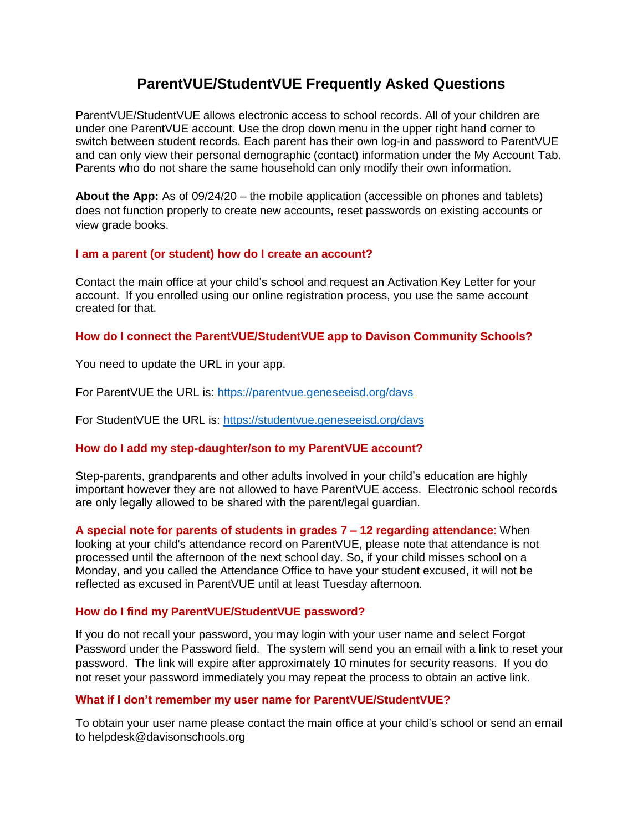# **ParentVUE/StudentVUE Frequently Asked Questions**

ParentVUE/StudentVUE allows electronic access to school records. All of your children are under one ParentVUE account. Use the drop down menu in the upper right hand corner to switch between student records. Each parent has their own log-in and password to ParentVUE and can only view their personal demographic (contact) information under the My Account Tab. Parents who do not share the same household can only modify their own information.

**About the App:** As of 09/24/20 – the mobile application (accessible on phones and tablets) does not function properly to create new accounts, reset passwords on existing accounts or view grade books.

# **I am a parent (or student) how do I create an account?**

Contact the main office at your child's school and request an Activation Key Letter for your account. If you enrolled using our online registration process, you use the same account created for that.

## **How do I connect the ParentVUE/StudentVUE app to Davison Community Schools?**

You need to update the URL in your app.

For ParentVUE the URL is: <https://parentvue.geneseeisd.org/davs>

For StudentVUE the URL is:<https://studentvue.geneseeisd.org/davs>

# **How do I add my step-daughter/son to my ParentVUE account?**

Step-parents, grandparents and other adults involved in your child's education are highly important however they are not allowed to have ParentVUE access. Electronic school records are only legally allowed to be shared with the parent/legal guardian.

**A special note for parents of students in grades 7 – 12 regarding attendance**: When looking at your child's attendance record on ParentVUE, please note that attendance is not processed until the afternoon of the next school day. So, if your child misses school on a Monday, and you called the Attendance Office to have your student excused, it will not be reflected as excused in ParentVUE until at least Tuesday afternoon.

# **How do I find my ParentVUE/StudentVUE password?**

If you do not recall your password, you may login with your user name and select Forgot Password under the Password field. The system will send you an email with a link to reset your password. The link will expire after approximately 10 minutes for security reasons. If you do not reset your password immediately you may repeat the process to obtain an active link.

#### **What if I don't remember my user name for ParentVUE/StudentVUE?**

To obtain your user name please contact the main office at your child's school or send an email to helpdesk@davisonschools.org